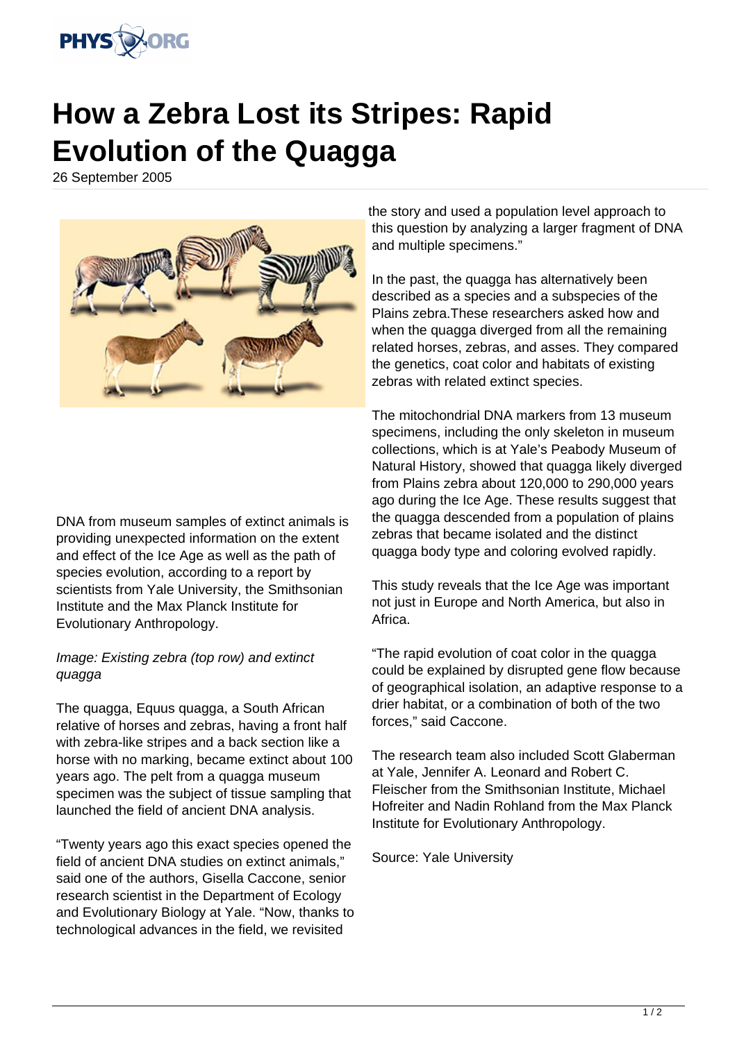

## **How a Zebra Lost its Stripes: Rapid Evolution of the Quagga**

26 September 2005



DNA from museum samples of extinct animals is providing unexpected information on the extent and effect of the Ice Age as well as the path of species evolution, according to a report by scientists from Yale University, the Smithsonian Institute and the Max Planck Institute for Evolutionary Anthropology.

## Image: Existing zebra (top row) and extinct quagga

The quagga, Equus quagga, a South African relative of horses and zebras, having a front half with zebra-like stripes and a back section like a horse with no marking, became extinct about 100 years ago. The pelt from a quagga museum specimen was the subject of tissue sampling that launched the field of ancient DNA analysis.

"Twenty years ago this exact species opened the field of ancient DNA studies on extinct animals." said one of the authors, Gisella Caccone, senior research scientist in the Department of Ecology and Evolutionary Biology at Yale. "Now, thanks to technological advances in the field, we revisited

the story and used a population level approach to this question by analyzing a larger fragment of DNA and multiple specimens."

In the past, the quagga has alternatively been described as a species and a subspecies of the Plains zebra.These researchers asked how and when the quagga diverged from all the remaining related horses, zebras, and asses. They compared the genetics, coat color and habitats of existing zebras with related extinct species.

The mitochondrial DNA markers from 13 museum specimens, including the only skeleton in museum collections, which is at Yale's Peabody Museum of Natural History, showed that quagga likely diverged from Plains zebra about 120,000 to 290,000 years ago during the Ice Age. These results suggest that the quagga descended from a population of plains zebras that became isolated and the distinct quagga body type and coloring evolved rapidly.

This study reveals that the Ice Age was important not just in Europe and North America, but also in Africa.

"The rapid evolution of coat color in the quagga could be explained by disrupted gene flow because of geographical isolation, an adaptive response to a drier habitat, or a combination of both of the two forces," said Caccone.

The research team also included Scott Glaberman at Yale, Jennifer A. Leonard and Robert C. Fleischer from the Smithsonian Institute, Michael Hofreiter and Nadin Rohland from the Max Planck Institute for Evolutionary Anthropology.

Source: Yale University